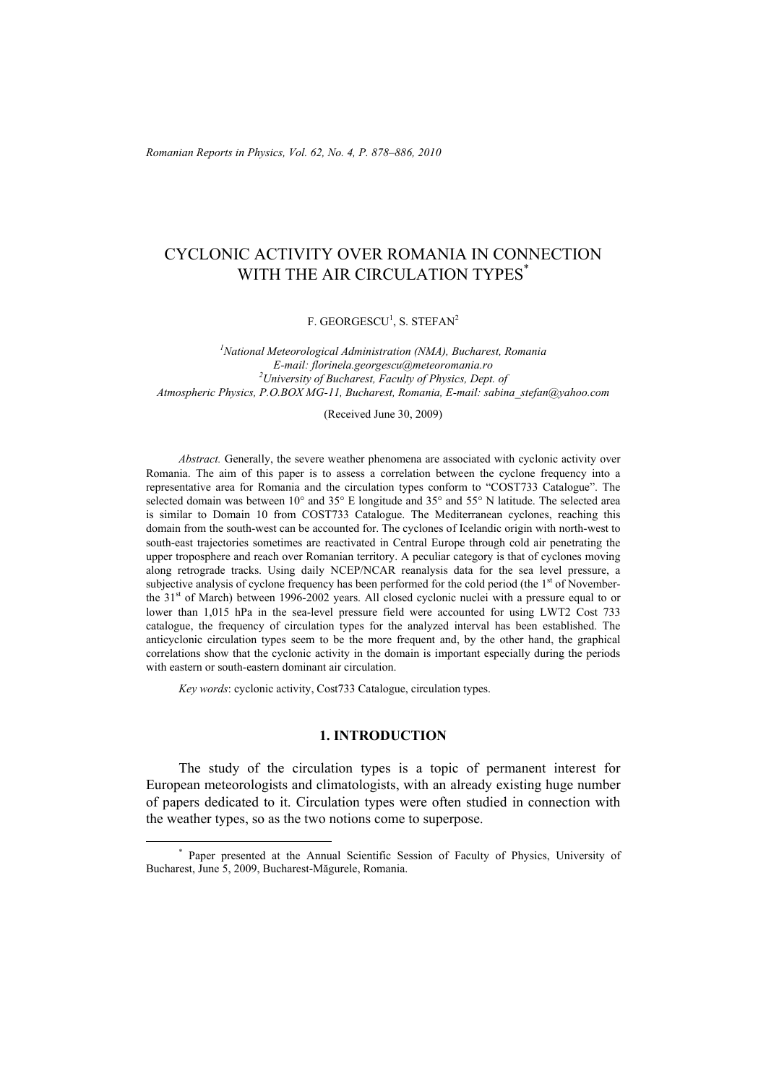*Romanian Reports in Physics, Vol. 62, No. 4, P. 878–886, 2010*

# CYCLONIC ACTIVITY OVER ROMANIA IN CONNECTION WITH THE AIR CIRCULATION TYPES<sup>\*</sup>

F. GEORGESCU<sup>1</sup>, S. STEFAN<sup>2</sup>

*1 National Meteorological Administration (NMA), Bucharest, Romania E-mail: florinela.georgescu@meteoromania.ro 2 University of Bucharest, Faculty of Physics, Dept. of Atmospheric Physics, P.O.BOX MG-11, Bucharest, Romania, E-mail: sabina\_stefan@yahoo.com* 

(Received June 30, 2009)

*Abstract.* Generally, the severe weather phenomena are associated with cyclonic activity over Romania. The aim of this paper is to assess a correlation between the cyclone frequency into a representative area for Romania and the circulation types conform to "COST733 Catalogue". The selected domain was between 10° and 35° E longitude and 35° and 55° N latitude. The selected area is similar to Domain 10 from COST733 Catalogue. The Mediterranean cyclones, reaching this domain from the south-west can be accounted for. The cyclones of Icelandic origin with north-west to south-east trajectories sometimes are reactivated in Central Europe through cold air penetrating the upper troposphere and reach over Romanian territory. A peculiar category is that of cyclones moving along retrograde tracks. Using daily NCEP/NCAR reanalysis data for the sea level pressure, a subjective analysis of cyclone frequency has been performed for the cold period (the  $1<sup>st</sup>$  of Novemberthe 31<sup>st</sup> of March) between 1996-2002 years. All closed cyclonic nuclei with a pressure equal to or lower than 1,015 hPa in the sea-level pressure field were accounted for using LWT2 Cost 733 catalogue, the frequency of circulation types for the analyzed interval has been established. The anticyclonic circulation types seem to be the more frequent and, by the other hand, the graphical correlations show that the cyclonic activity in the domain is important especially during the periods with eastern or south-eastern dominant air circulation.

*Key words*: cyclonic activity, Cost733 Catalogue, circulation types.

### **1. INTRODUCTION**

The study of the circulation types is a topic of permanent interest for European meteorologists and climatologists, with an already existing huge number of papers dedicated to it. Circulation types were often studied in connection with the weather types, so as the two notions come to superpose.

 <sup>\*</sup> Paper presented at the Annual Scientific Session of Faculty of Physics, University of Bucharest, June 5, 2009, Bucharest-Măgurele, Romania.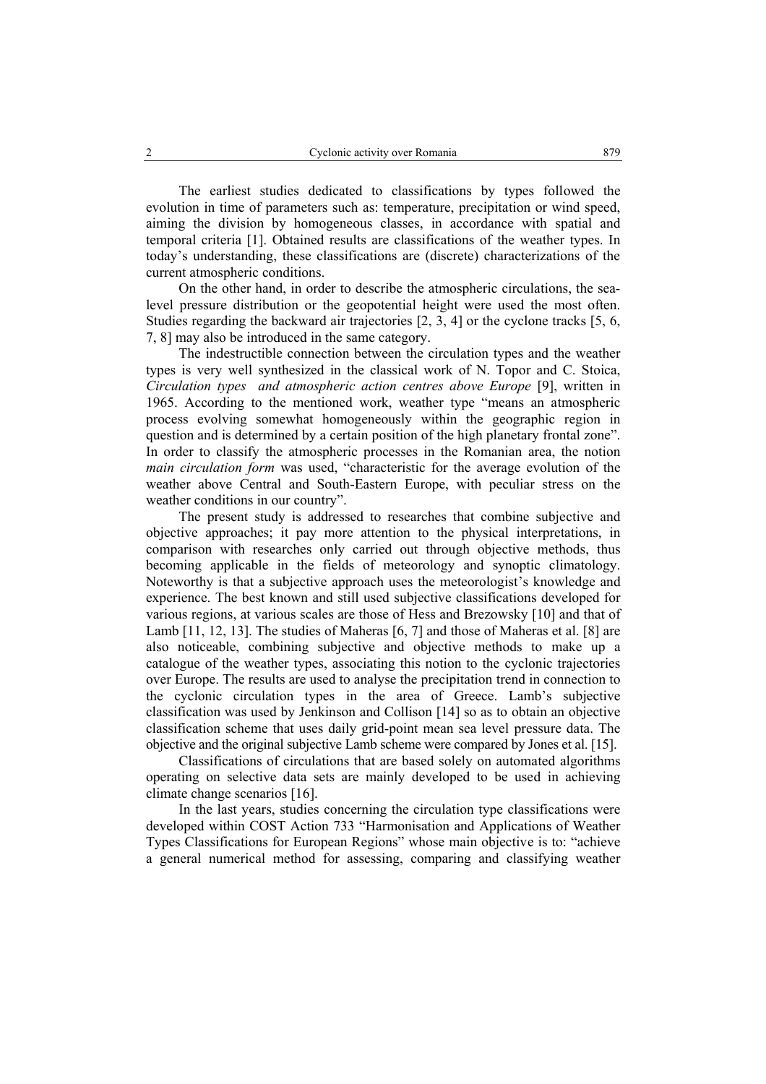The earliest studies dedicated to classifications by types followed the evolution in time of parameters such as: temperature, precipitation or wind speed, aiming the division by homogeneous classes, in accordance with spatial and temporal criteria [1]. Obtained results are classifications of the weather types. In today's understanding, these classifications are (discrete) characterizations of the current atmospheric conditions.

On the other hand, in order to describe the atmospheric circulations, the sealevel pressure distribution or the geopotential height were used the most often. Studies regarding the backward air trajectories [2, 3, 4] or the cyclone tracks [5, 6, 7, 8] may also be introduced in the same category.

The indestructible connection between the circulation types and the weather types is very well synthesized in the classical work of N. Topor and C. Stoica, *Circulation types and atmospheric action centres above Europe* [9], written in 1965. According to the mentioned work, weather type "means an atmospheric process evolving somewhat homogeneously within the geographic region in question and is determined by a certain position of the high planetary frontal zone". In order to classify the atmospheric processes in the Romanian area, the notion *main circulation form* was used, "characteristic for the average evolution of the weather above Central and South-Eastern Europe, with peculiar stress on the weather conditions in our country".

The present study is addressed to researches that combine subjective and objective approaches; it pay more attention to the physical interpretations, in comparison with researches only carried out through objective methods, thus becoming applicable in the fields of meteorology and synoptic climatology. Noteworthy is that a subjective approach uses the meteorologist's knowledge and experience. The best known and still used subjective classifications developed for various regions, at various scales are those of Hess and Brezowsky [10] and that of Lamb [11, 12, 13]. The studies of Maheras [6, 7] and those of Maheras et al. [8] are also noticeable, combining subjective and objective methods to make up a catalogue of the weather types, associating this notion to the cyclonic trajectories over Europe. The results are used to analyse the precipitation trend in connection to the cyclonic circulation types in the area of Greece. Lamb's subjective classification was used by Jenkinson and Collison [14] so as to obtain an objective classification scheme that uses daily grid-point mean sea level pressure data. The objective and the original subjective Lamb scheme were compared by Jones et al. [15].

Classifications of circulations that are based solely on automated algorithms operating on selective data sets are mainly developed to be used in achieving climate change scenarios [16].

In the last years, studies concerning the circulation type classifications were developed within COST Action 733 "Harmonisation and Applications of Weather Types Classifications for European Regions" whose main objective is to: "achieve a general numerical method for assessing, comparing and classifying weather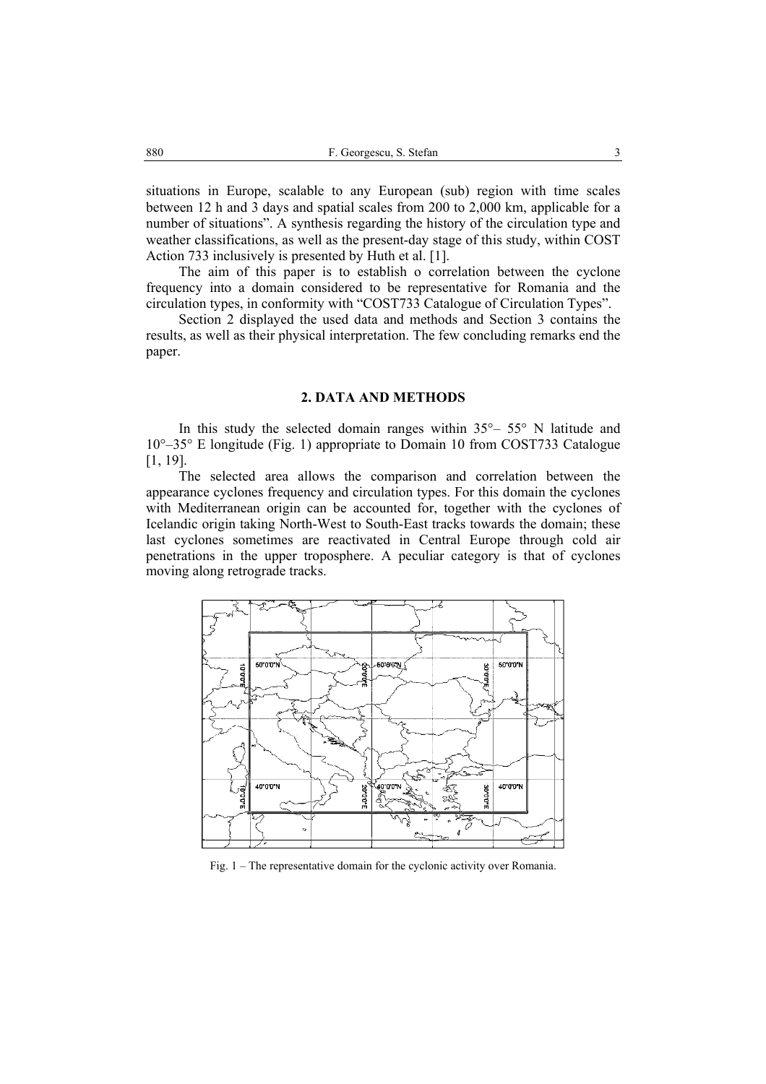situations in Europe, scalable to any European (sub) region with time scales between 12 h and 3 days and spatial scales from 200 to 2,000 km, applicable for a number of situations". A synthesis regarding the history of the circulation type and weather classifications, as well as the present-day stage of this study, within COST Action 733 inclusively is presented by Huth et al. [1].

The aim of this paper is to establish o correlation between the cyclone frequency into a domain considered to be representative for Romania and the circulation types, in conformity with "COST733 Catalogue of Circulation Types".

Section 2 displayed the used data and methods and Section 3 contains the results, as well as their physical interpretation. The few concluding remarks end the paper.

### **2. DATA AND METHODS**

In this study the selected domain ranges within  $35^{\circ} - 55^{\circ}$  N latitude and 10°–35° E longitude (Fig. 1) appropriate to Domain 10 from COST733 Catalogue [1, 19].

The selected area allows the comparison and correlation between the appearance cyclones frequency and circulation types. For this domain the cyclones with Mediterranean origin can be accounted for, together with the cyclones of Icelandic origin taking North-West to South-East tracks towards the domain; these last cyclones sometimes are reactivated in Central Europe through cold air penetrations in the upper troposphere. A peculiar category is that of cyclones moving along retrograde tracks.



Fig. 1 – The representative domain for the cyclonic activity over Romania.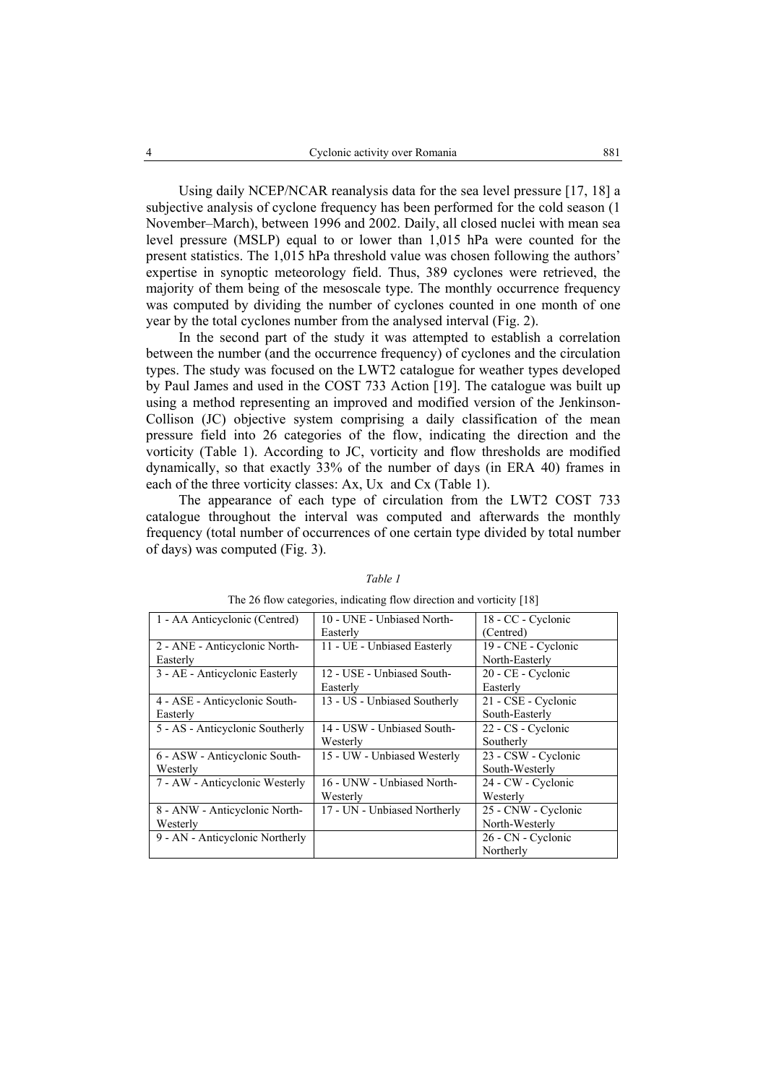Using daily NCEP/NCAR reanalysis data for the sea level pressure [17, 18] a subjective analysis of cyclone frequency has been performed for the cold season (1 November–March), between 1996 and 2002. Daily, all closed nuclei with mean sea level pressure (MSLP) equal to or lower than 1,015 hPa were counted for the present statistics. The 1,015 hPa threshold value was chosen following the authors' expertise in synoptic meteorology field. Thus, 389 cyclones were retrieved, the majority of them being of the mesoscale type. The monthly occurrence frequency was computed by dividing the number of cyclones counted in one month of one year by the total cyclones number from the analysed interval (Fig. 2).

In the second part of the study it was attempted to establish a correlation between the number (and the occurrence frequency) of cyclones and the circulation types. The study was focused on the LWT2 catalogue for weather types developed by Paul James and used in the COST 733 Action [19]. The catalogue was built up using a method representing an improved and modified version of the Jenkinson-Collison (JC) objective system comprising a daily classification of the mean pressure field into 26 categories of the flow, indicating the direction and the vorticity (Table 1). According to JC, vorticity and flow thresholds are modified dynamically, so that exactly 33% of the number of days (in ERA 40) frames in each of the three vorticity classes: Ax, Ux and Cx (Table 1).

The appearance of each type of circulation from the LWT2 COST 733 catalogue throughout the interval was computed and afterwards the monthly frequency (total number of occurrences of one certain type divided by total number of days) was computed (Fig. 3).

| 1 - AA Anticyclonic (Centred)   | 10 - UNE - Unbiased North-   | 18 - CC - Cyclonic  |
|---------------------------------|------------------------------|---------------------|
|                                 | Easterly                     | (Centred)           |
| 2 - ANE - Anticyclonic North-   | 11 - UE - Unbiased Easterly  | 19 - CNE - Cyclonic |
| Easterly                        |                              | North-Easterly      |
| 3 - AE - Anticyclonic Easterly  | 12 - USE - Unbiased South-   | 20 - CE - Cyclonic  |
|                                 | Easterly                     | Easterly            |
| 4 - ASE - Anticyclonic South-   | 13 - US - Unbiased Southerly | 21 - CSE - Cyclonic |
| Easterly                        |                              | South-Easterly      |
| 5 - AS - Anticyclonic Southerly | 14 - USW - Unbiased South-   | 22 - CS - Cyclonic  |
|                                 | Westerly                     | Southerly           |
| 6 - ASW - Anticyclonic South-   | 15 - UW - Unbiased Westerly  | 23 - CSW - Cyclonic |
| Westerly                        |                              | South-Westerly      |
| 7 - AW - Anticyclonic Westerly  | 16 - UNW - Unbiased North-   | 24 - CW - Cyclonic  |
|                                 | Westerly                     | Westerly            |
| 8 - ANW - Anticyclonic North-   | 17 - UN - Unbiased Northerly | 25 - CNW - Cyclonic |
| Westerly                        |                              | North-Westerly      |
| 9 - AN - Anticyclonic Northerly |                              | 26 - CN - Cyclonic  |
|                                 |                              | Northerly           |

#### *Table 1*

The 26 flow categories, indicating flow direction and vorticity [18]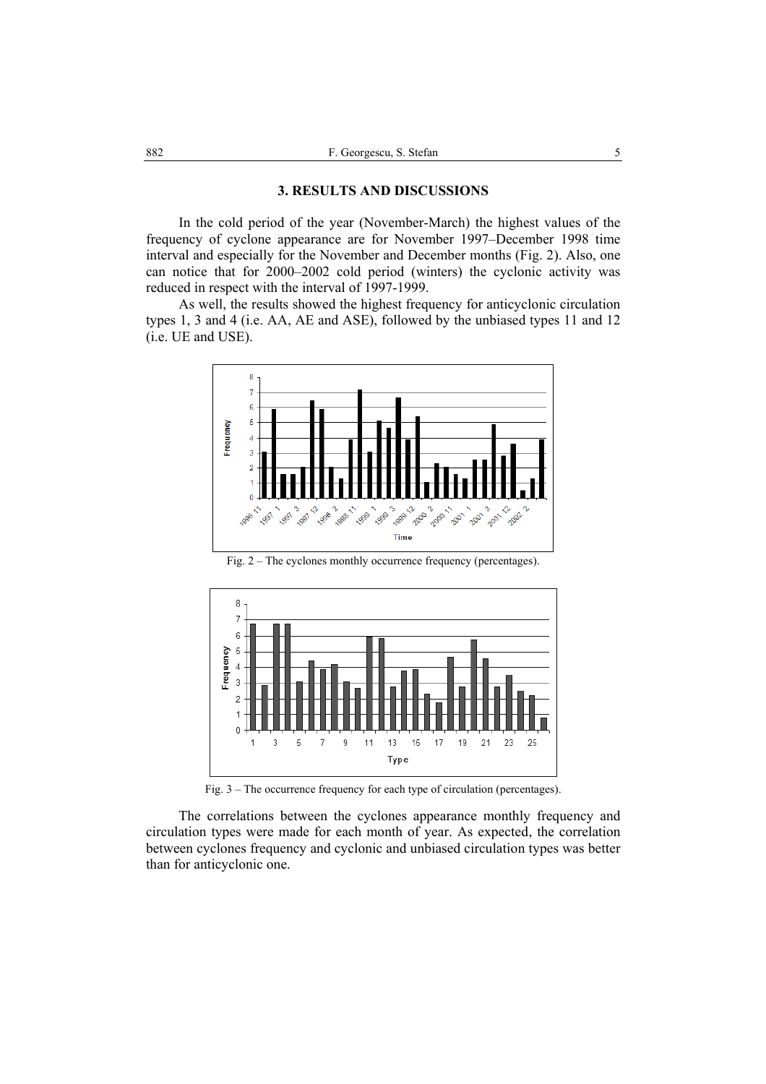### **3. RESULTS AND DISCUSSIONS**

In the cold period of the year (November-March) the highest values of the frequency of cyclone appearance are for November 1997–December 1998 time interval and especially for the November and December months (Fig. 2). Also, one can notice that for 2000–2002 cold period (winters) the cyclonic activity was reduced in respect with the interval of 1997-1999.

As well, the results showed the highest frequency for anticyclonic circulation types 1, 3 and 4 (i.e. AA, AE and ASE), followed by the unbiased types 11 and 12 (i.e. UE and USE).



Fig. 2 – The cyclones monthly occurrence frequency (percentages).



Fig. 3 – The occurrence frequency for each type of circulation (percentages).

The correlations between the cyclones appearance monthly frequency and circulation types were made for each month of year. As expected, the correlation between cyclones frequency and cyclonic and unbiased circulation types was better than for anticyclonic one.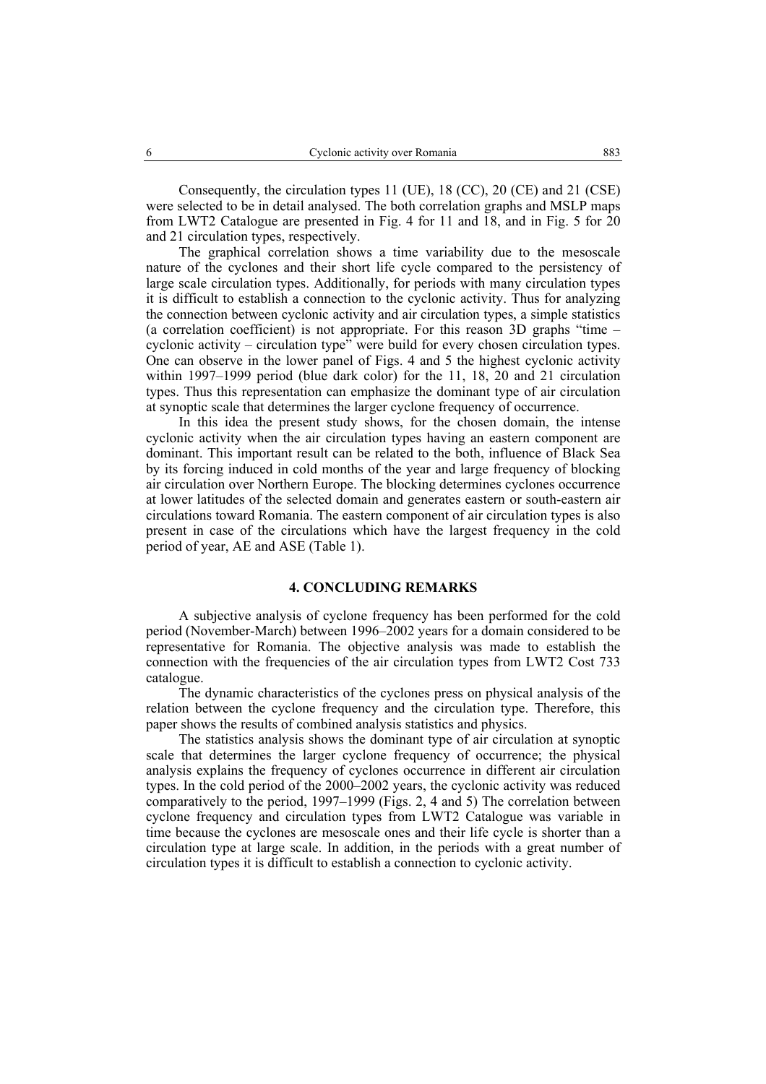Consequently, the circulation types 11 (UE), 18 (CC), 20 (CE) and 21 (CSE) were selected to be in detail analysed. The both correlation graphs and MSLP maps from LWT2 Catalogue are presented in Fig. 4 for 11 and 18, and in Fig. 5 for 20 and 21 circulation types, respectively.

The graphical correlation shows a time variability due to the mesoscale nature of the cyclones and their short life cycle compared to the persistency of large scale circulation types. Additionally, for periods with many circulation types it is difficult to establish a connection to the cyclonic activity. Thus for analyzing the connection between cyclonic activity and air circulation types, a simple statistics (a correlation coefficient) is not appropriate. For this reason 3D graphs "time – cyclonic activity – circulation type" were build for every chosen circulation types. One can observe in the lower panel of Figs. 4 and 5 the highest cyclonic activity within 1997–1999 period (blue dark color) for the 11, 18, 20 and 21 circulation types. Thus this representation can emphasize the dominant type of air circulation at synoptic scale that determines the larger cyclone frequency of occurrence.

In this idea the present study shows, for the chosen domain, the intense cyclonic activity when the air circulation types having an eastern component are dominant. This important result can be related to the both, influence of Black Sea by its forcing induced in cold months of the year and large frequency of blocking air circulation over Northern Europe. The blocking determines cyclones occurrence at lower latitudes of the selected domain and generates eastern or south-eastern air circulations toward Romania. The eastern component of air circulation types is also present in case of the circulations which have the largest frequency in the cold period of year, AE and ASE (Table 1).

### **4. CONCLUDING REMARKS**

A subjective analysis of cyclone frequency has been performed for the cold period (November-March) between 1996–2002 years for a domain considered to be representative for Romania. The objective analysis was made to establish the connection with the frequencies of the air circulation types from LWT2 Cost 733 catalogue.

The dynamic characteristics of the cyclones press on physical analysis of the relation between the cyclone frequency and the circulation type. Therefore, this paper shows the results of combined analysis statistics and physics.

The statistics analysis shows the dominant type of air circulation at synoptic scale that determines the larger cyclone frequency of occurrence; the physical analysis explains the frequency of cyclones occurrence in different air circulation types. In the cold period of the 2000–2002 years, the cyclonic activity was reduced comparatively to the period, 1997–1999 (Figs. 2, 4 and 5) The correlation between cyclone frequency and circulation types from LWT2 Catalogue was variable in time because the cyclones are mesoscale ones and their life cycle is shorter than a circulation type at large scale. In addition, in the periods with a great number of circulation types it is difficult to establish a connection to cyclonic activity.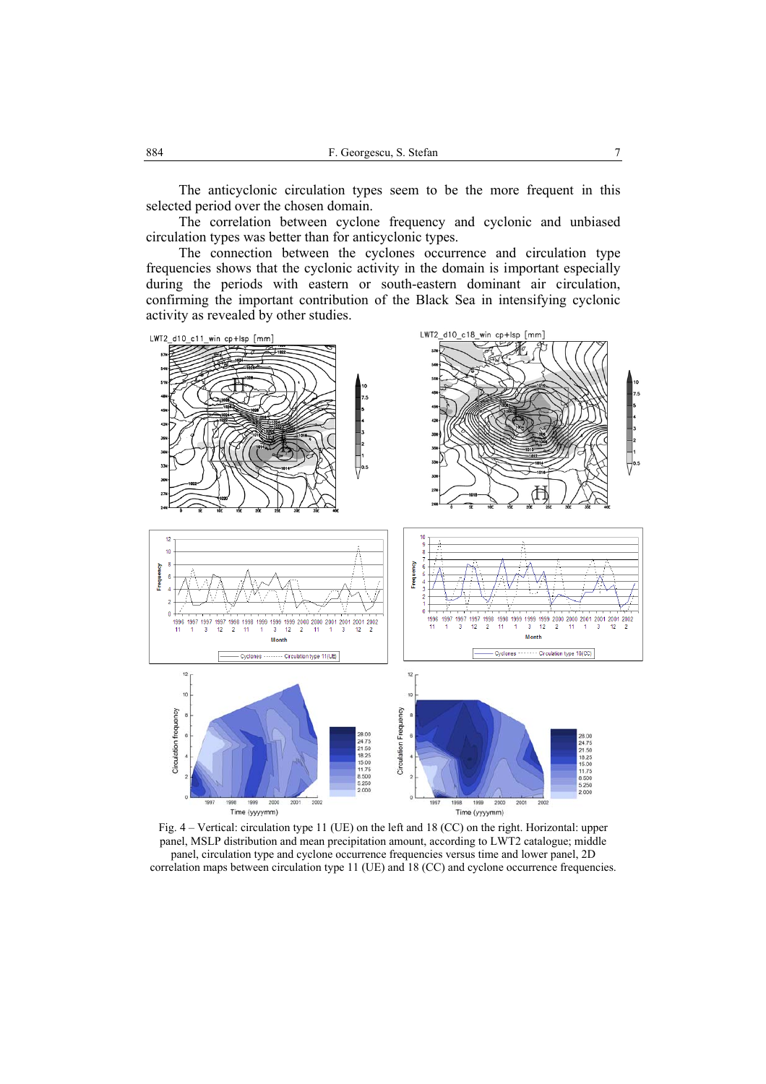The anticyclonic circulation types seem to be the more frequent in this selected period over the chosen domain.

The correlation between cyclone frequency and cyclonic and unbiased circulation types was better than for anticyclonic types.

The connection between the cyclones occurrence and circulation type frequencies shows that the cyclonic activity in the domain is important especially during the periods with eastern or south-eastern dominant air circulation, confirming the important contribution of the Black Sea in intensifying cyclonic activity as revealed by other studies.



Fig. 4 – Vertical: circulation type 11 (UE) on the left and 18 (CC) on the right. Horizontal: upper panel, MSLP distribution and mean precipitation amount, according to LWT2 catalogue; middle panel, circulation type and cyclone occurrence frequencies versus time and lower panel, 2D correlation maps between circulation type 11 (UE) and 18 (CC) and cyclone occurrence frequencies.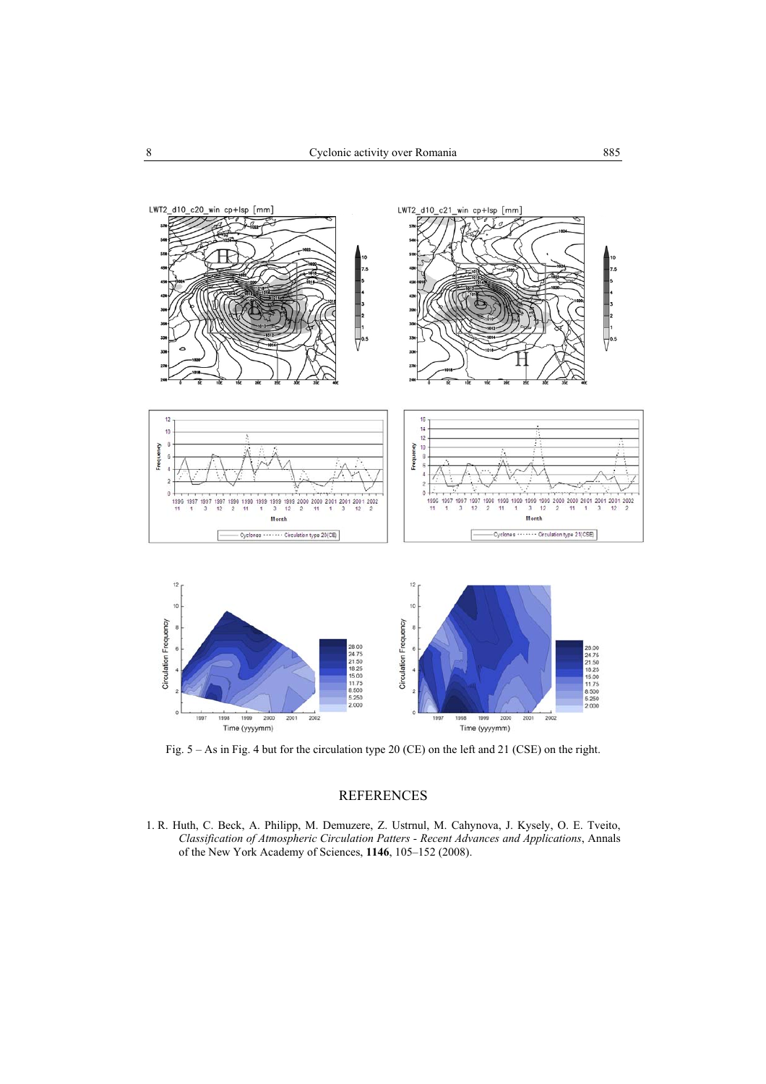

Fig. 5 – As in Fig. 4 but for the circulation type 20 (CE) on the left and 21 (CSE) on the right.

## REFERENCES

1. R. Huth, C. Beck, A. Philipp, M. Demuzere, Z. Ustrnul, M. Cahynova, J. Kysely, O. E. Tveito, *Classification of Atmospheric Circulation Patters - Recent Advances and Applications*, Annals of the New York Academy of Sciences, **1146**, 105–152 (2008).